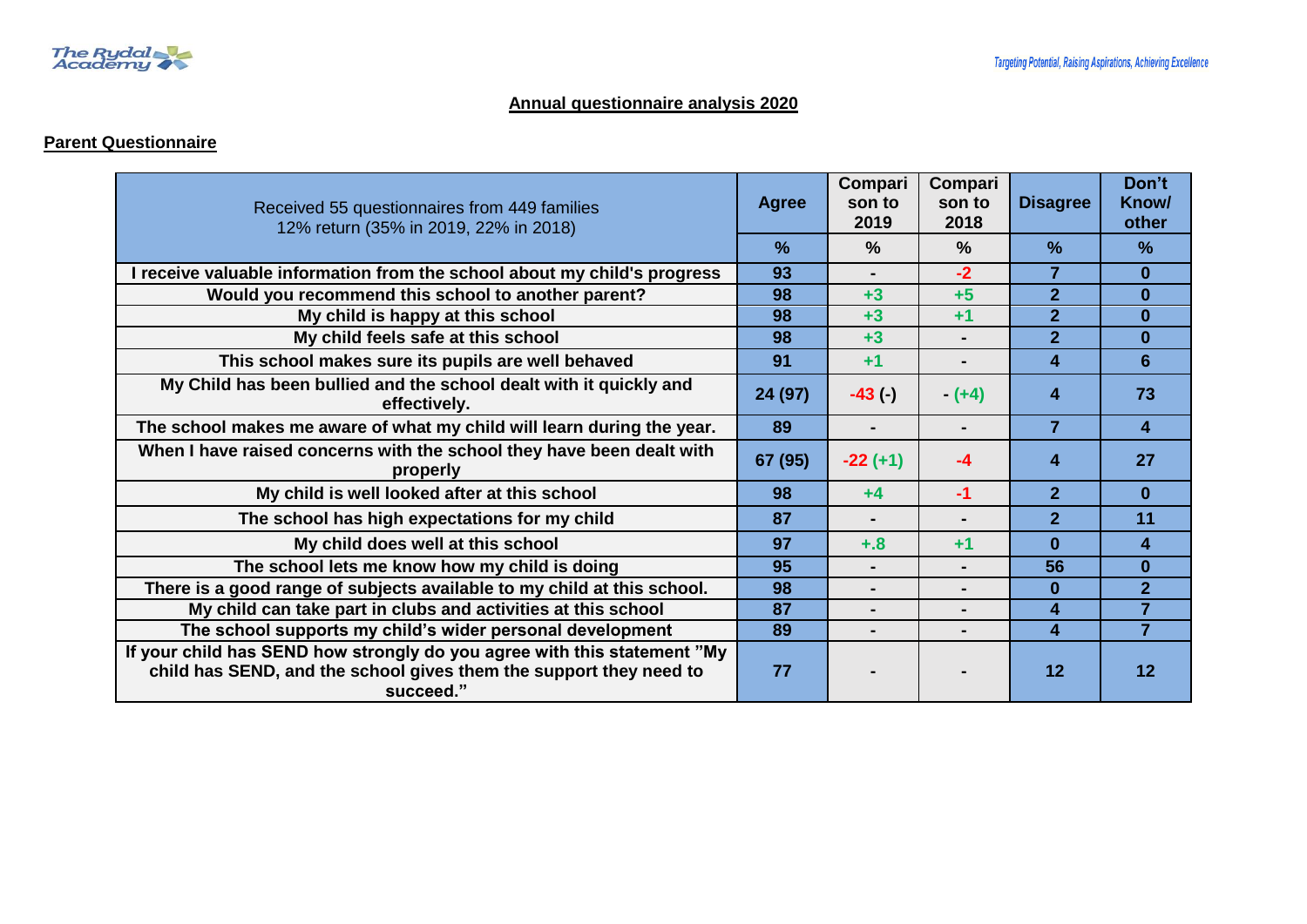

#### **Annual questionnaire analysis 2020**

## **Parent Questionnaire**

| Received 55 questionnaires from 449 families<br>12% return (35% in 2019, 22% in 2018)                                                                       | <b>Agree</b> | Compari<br>son to<br>2019 | Compari<br>son to<br>2018 | <b>Disagree</b> | Don't<br>Know/<br>other |
|-------------------------------------------------------------------------------------------------------------------------------------------------------------|--------------|---------------------------|---------------------------|-----------------|-------------------------|
|                                                                                                                                                             | $\%$         | $\%$                      | $\frac{0}{0}$             | $\frac{9}{6}$   | $\frac{9}{6}$           |
| I receive valuable information from the school about my child's progress                                                                                    | 93           | ۰.                        | $-2$                      | 7               | $\mathbf{0}$            |
| Would you recommend this school to another parent?                                                                                                          | 98           | $+3$                      | $+5$                      | $\overline{2}$  | $\mathbf{0}$            |
| My child is happy at this school                                                                                                                            | 98           | $+3$                      | $+1$                      | $\overline{2}$  | $\bf{0}$                |
| My child feels safe at this school                                                                                                                          | 98           | $+3$                      | $\blacksquare$            | $\overline{2}$  | $\mathbf{0}$            |
| This school makes sure its pupils are well behaved                                                                                                          | 91           | $+1$                      |                           | 4               | 6                       |
| My Child has been bullied and the school dealt with it quickly and<br>effectively.                                                                          | 24 (97)      | $-43$ (-)                 | $- (+4)$                  | 4               | 73                      |
| The school makes me aware of what my child will learn during the year.                                                                                      | 89           |                           | $\blacksquare$            | $\overline{7}$  | $\overline{\mathbf{4}}$ |
| When I have raised concerns with the school they have been dealt with<br>properly                                                                           | 67 (95)      | $-22 (+1)$                | -4                        | 4               | 27                      |
| My child is well looked after at this school                                                                                                                | 98           | $+4$                      | $-1$                      | $\overline{2}$  | $\mathbf{0}$            |
| The school has high expectations for my child                                                                                                               | 87           |                           |                           | $\overline{2}$  | 11                      |
| My child does well at this school                                                                                                                           | 97           | $+.8$                     | $+1$                      | $\bf{0}$        | $\overline{\mathbf{A}}$ |
| The school lets me know how my child is doing                                                                                                               | 95           |                           | $\blacksquare$            | 56              | $\bf{0}$                |
| There is a good range of subjects available to my child at this school.                                                                                     | 98           |                           | $\blacksquare$            | $\bf{0}$        | $\overline{2}$          |
| My child can take part in clubs and activities at this school                                                                                               | 87           |                           |                           | 4               | $\overline{7}$          |
| The school supports my child's wider personal development                                                                                                   | 89           |                           |                           | 4               | $\overline{7}$          |
| If your child has SEND how strongly do you agree with this statement "My<br>child has SEND, and the school gives them the support they need to<br>succeed." | 77           |                           |                           | 12              | 12                      |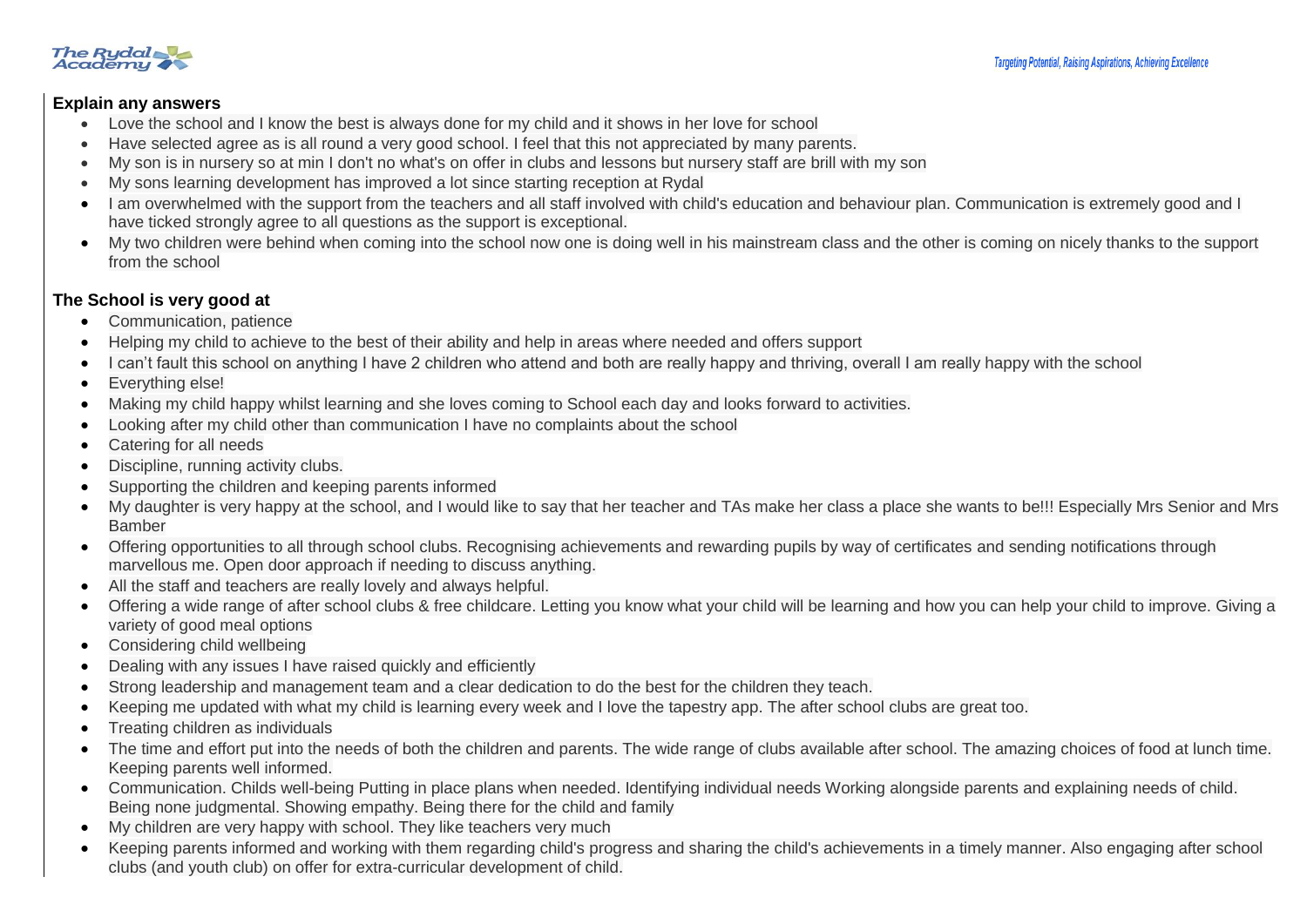

### **Explain any answers**

- Love the school and I know the best is always done for my child and it shows in her love for school
- Have selected agree as is all round a very good school. I feel that this not appreciated by many parents.
- My son is in nursery so at min I don't no what's on offer in clubs and lessons but nursery staff are brill with my son
- My sons learning development has improved a lot since starting reception at Rydal
- I am overwhelmed with the support from the teachers and all staff involved with child's education and behaviour plan. Communication is extremely good and I have ticked strongly agree to all questions as the support is exceptional.
- My two children were behind when coming into the school now one is doing well in his mainstream class and the other is coming on nicely thanks to the support from the school

## **The School is very good at**

- Communication, patience
- Helping my child to achieve to the best of their ability and help in areas where needed and offers support
- I can't fault this school on anything I have 2 children who attend and both are really happy and thriving, overall I am really happy with the school
- Everything else!
- Making my child happy whilst learning and she loves coming to School each day and looks forward to activities.
- Looking after my child other than communication I have no complaints about the school
- Catering for all needs
- Discipline, running activity clubs.
- Supporting the children and keeping parents informed
- My daughter is very happy at the school, and I would like to say that her teacher and TAs make her class a place she wants to be!!! Especially Mrs Senior and Mrs Bamber
- Offering opportunities to all through school clubs. Recognising achievements and rewarding pupils by way of certificates and sending notifications through marvellous me. Open door approach if needing to discuss anything.
- All the staff and teachers are really lovely and always helpful.
- Offering a wide range of after school clubs & free childcare. Letting you know what your child will be learning and how you can help your child to improve. Giving a variety of good meal options
- Considering child wellbeing
- Dealing with any issues I have raised quickly and efficiently
- Strong leadership and management team and a clear dedication to do the best for the children they teach.
- Keeping me updated with what my child is learning every week and I love the tapestry app. The after school clubs are great too.
- Treating children as individuals
- The time and effort put into the needs of both the children and parents. The wide range of clubs available after school. The amazing choices of food at lunch time. Keeping parents well informed.
- Communication. Childs well-being Putting in place plans when needed. Identifying individual needs Working alongside parents and explaining needs of child. Being none judgmental. Showing empathy. Being there for the child and family
- My children are very happy with school. They like teachers very much
- Keeping parents informed and working with them regarding child's progress and sharing the child's achievements in a timely manner. Also engaging after school clubs (and youth club) on offer for extra-curricular development of child.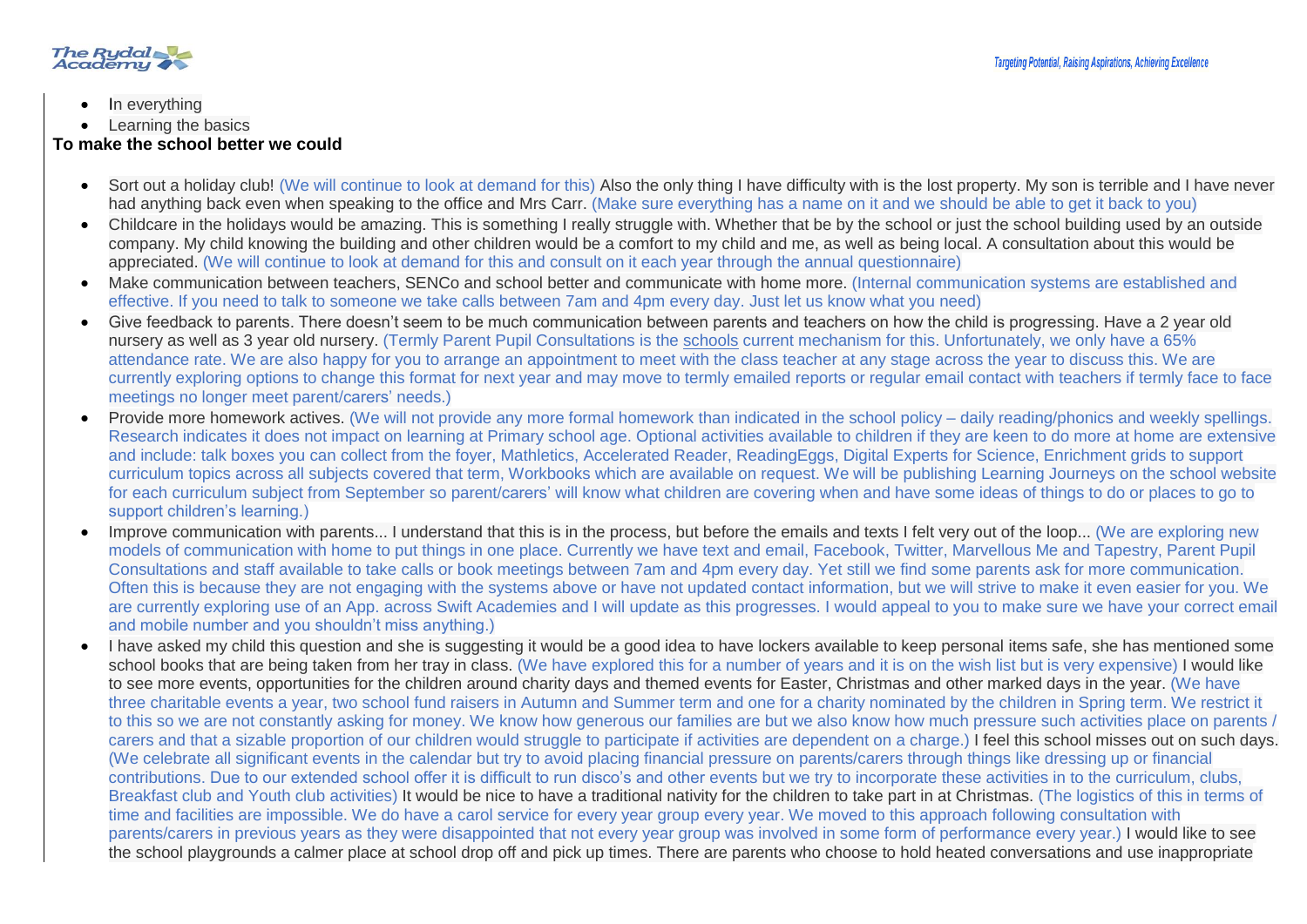

- In everything
- Learning the basics

### **To make the school better we could**

- Sort out a holiday club! (We will continue to look at demand for this) Also the only thing I have difficulty with is the lost property. My son is terrible and I have never had anything back even when speaking to the office and Mrs Carr. (Make sure everything has a name on it and we should be able to get it back to you)
- Childcare in the holidays would be amazing. This is something I really struggle with. Whether that be by the school or just the school building used by an outside company. My child knowing the building and other children would be a comfort to my child and me, as well as being local. A consultation about this would be appreciated. (We will continue to look at demand for this and consult on it each year through the annual questionnaire)
- Make communication between teachers, SENCo and school better and communicate with home more. (Internal communication systems are established and effective. If you need to talk to someone we take calls between 7am and 4pm every day. Just let us know what you need)
- Give feedback to parents. There doesn't seem to be much communication between parents and teachers on how the child is progressing. Have a 2 year old nursery as well as 3 year old nursery. (Termly Parent Pupil Consultations is the schools current mechanism for this. Unfortunately, we only have a 65% attendance rate. We are also happy for you to arrange an appointment to meet with the class teacher at any stage across the year to discuss this. We are currently exploring options to change this format for next year and may move to termly emailed reports or regular email contact with teachers if termly face to face meetings no longer meet parent/carers' needs.)
- Provide more homework actives. (We will not provide any more formal homework than indicated in the school policy daily reading/phonics and weekly spellings. Research indicates it does not impact on learning at Primary school age. Optional activities available to children if they are keen to do more at home are extensive and include: talk boxes you can collect from the foyer, Mathletics, Accelerated Reader, ReadingEggs, Digital Experts for Science, Enrichment grids to support curriculum topics across all subjects covered that term, Workbooks which are available on request. We will be publishing Learning Journeys on the school website for each curriculum subject from September so parent/carers' will know what children are covering when and have some ideas of things to do or places to go to support children's learning.)
- Improve communication with parents... I understand that this is in the process, but before the emails and texts I felt very out of the loop... (We are exploring new models of communication with home to put things in one place. Currently we have text and email, Facebook, Twitter, Marvellous Me and Tapestry, Parent Pupil Consultations and staff available to take calls or book meetings between 7am and 4pm every day. Yet still we find some parents ask for more communication. Often this is because they are not engaging with the systems above or have not updated contact information, but we will strive to make it even easier for you. We are currently exploring use of an App. across Swift Academies and I will update as this progresses. I would appeal to you to make sure we have your correct email and mobile number and you shouldn't miss anything.)
- I have asked my child this question and she is suggesting it would be a good idea to have lockers available to keep personal items safe, she has mentioned some school books that are being taken from her tray in class. (We have explored this for a number of years and it is on the wish list but is very expensive) I would like to see more events, opportunities for the children around charity days and themed events for Easter, Christmas and other marked days in the year. (We have three charitable events a year, two school fund raisers in Autumn and Summer term and one for a charity nominated by the children in Spring term. We restrict it to this so we are not constantly asking for money. We know how generous our families are but we also know how much pressure such activities place on parents / carers and that a sizable proportion of our children would struggle to participate if activities are dependent on a charge.) I feel this school misses out on such days. (We celebrate all significant events in the calendar but try to avoid placing financial pressure on parents/carers through things like dressing up or financial contributions. Due to our extended school offer it is difficult to run disco's and other events but we try to incorporate these activities in to the curriculum, clubs, Breakfast club and Youth club activities) It would be nice to have a traditional nativity for the children to take part in at Christmas. (The logistics of this in terms of time and facilities are impossible. We do have a carol service for every year group every year. We moved to this approach following consultation with parents/carers in previous years as they were disappointed that not every year group was involved in some form of performance every year.) I would like to see the school playgrounds a calmer place at school drop off and pick up times. There are parents who choose to hold heated conversations and use inappropriate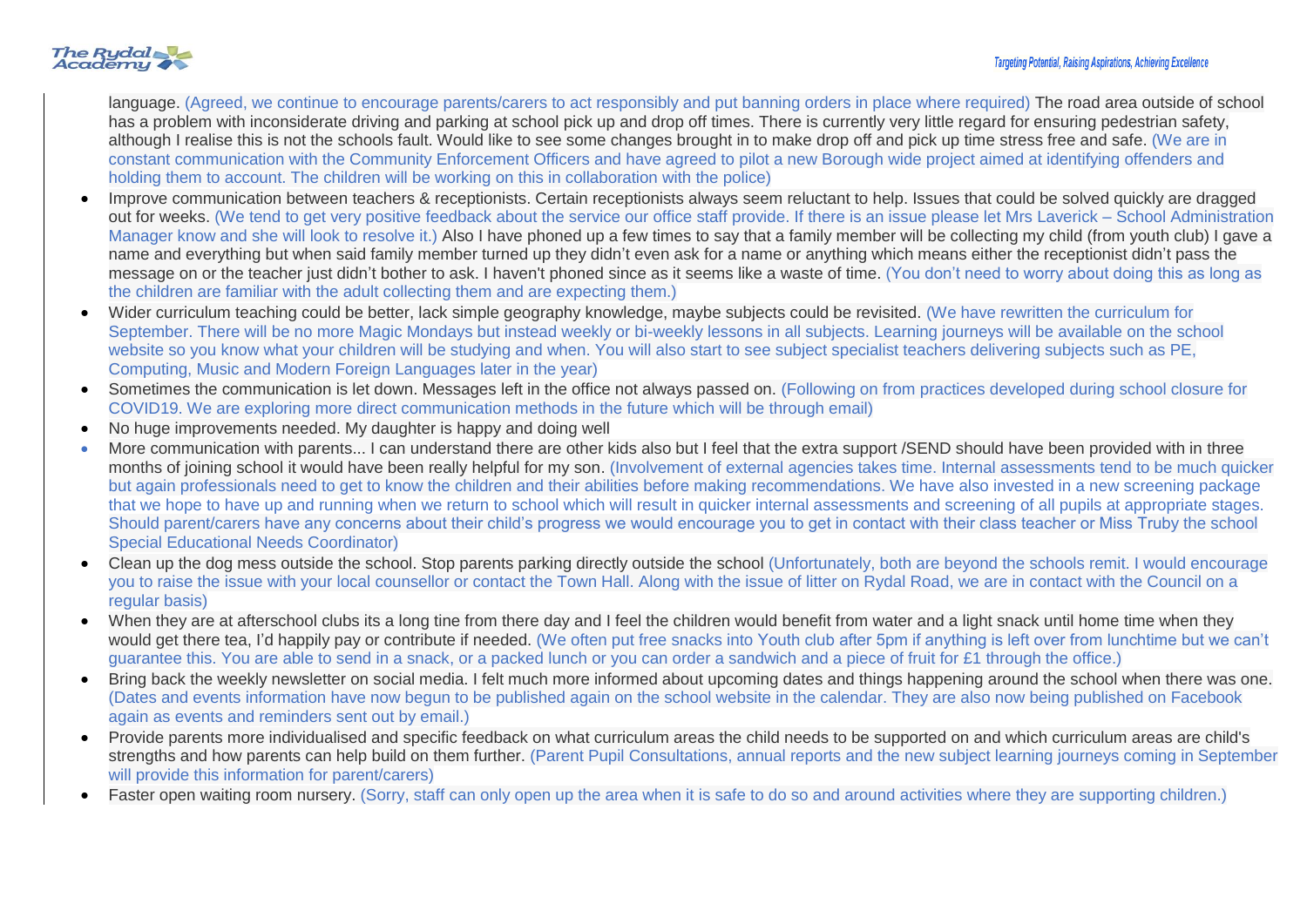# The Rydal

language. (Agreed, we continue to encourage parents/carers to act responsibly and put banning orders in place where required) The road area outside of school has a problem with inconsiderate driving and parking at school pick up and drop off times. There is currently very little regard for ensuring pedestrian safety, although I realise this is not the schools fault. Would like to see some changes brought in to make drop off and pick up time stress free and safe. (We are in constant communication with the Community Enforcement Officers and have agreed to pilot a new Borough wide project aimed at identifying offenders and holding them to account. The children will be working on this in collaboration with the police)

- Improve communication between teachers & receptionists. Certain receptionists always seem reluctant to help. Issues that could be solved quickly are dragged out for weeks. (We tend to get very positive feedback about the service our office staff provide. If there is an issue please let Mrs Laverick – School Administration Manager know and she will look to resolve it.) Also I have phoned up a few times to say that a family member will be collecting my child (from youth club) I gave a name and everything but when said family member turned up they didn't even ask for a name or anything which means either the receptionist didn't pass the message on or the teacher just didn't bother to ask. I haven't phoned since as it seems like a waste of time. (You don't need to worry about doing this as long as the children are familiar with the adult collecting them and are expecting them.)
- Wider curriculum teaching could be better, lack simple geography knowledge, maybe subjects could be revisited. (We have rewritten the curriculum for September. There will be no more Magic Mondays but instead weekly or bi-weekly lessons in all subjects. Learning journeys will be available on the school website so you know what your children will be studying and when. You will also start to see subject specialist teachers delivering subjects such as PE, Computing, Music and Modern Foreign Languages later in the year)
- Sometimes the communication is let down. Messages left in the office not always passed on. (Following on from practices developed during school closure for COVID19. We are exploring more direct communication methods in the future which will be through email)
- No huge improvements needed. My daughter is happy and doing well
- More communication with parents... I can understand there are other kids also but I feel that the extra support /SEND should have been provided with in three months of joining school it would have been really helpful for my son. (Involvement of external agencies takes time. Internal assessments tend to be much quicker but again professionals need to get to know the children and their abilities before making recommendations. We have also invested in a new screening package that we hope to have up and running when we return to school which will result in quicker internal assessments and screening of all pupils at appropriate stages. Should parent/carers have any concerns about their child's progress we would encourage you to get in contact with their class teacher or Miss Truby the school Special Educational Needs Coordinator)
- Clean up the dog mess outside the school. Stop parents parking directly outside the school (Unfortunately, both are beyond the schools remit. I would encourage you to raise the issue with your local counsellor or contact the Town Hall. Along with the issue of litter on Rydal Road, we are in contact with the Council on a regular basis)
- When they are at afterschool clubs its a long tine from there day and I feel the children would benefit from water and a light snack until home time when they would get there tea, I'd happily pay or contribute if needed. (We often put free snacks into Youth club after 5pm if anything is left over from lunchtime but we can't guarantee this. You are able to send in a snack, or a packed lunch or you can order a sandwich and a piece of fruit for £1 through the office.)
- Bring back the weekly newsletter on social media. I felt much more informed about upcoming dates and things happening around the school when there was one. (Dates and events information have now begun to be published again on the school website in the calendar. They are also now being published on Facebook again as events and reminders sent out by email.)
- Provide parents more individualised and specific feedback on what curriculum areas the child needs to be supported on and which curriculum areas are child's strengths and how parents can help build on them further. (Parent Pupil Consultations, annual reports and the new subject learning journeys coming in September will provide this information for parent/carers)
- Faster open waiting room nursery. (Sorry, staff can only open up the area when it is safe to do so and around activities where they are supporting children.)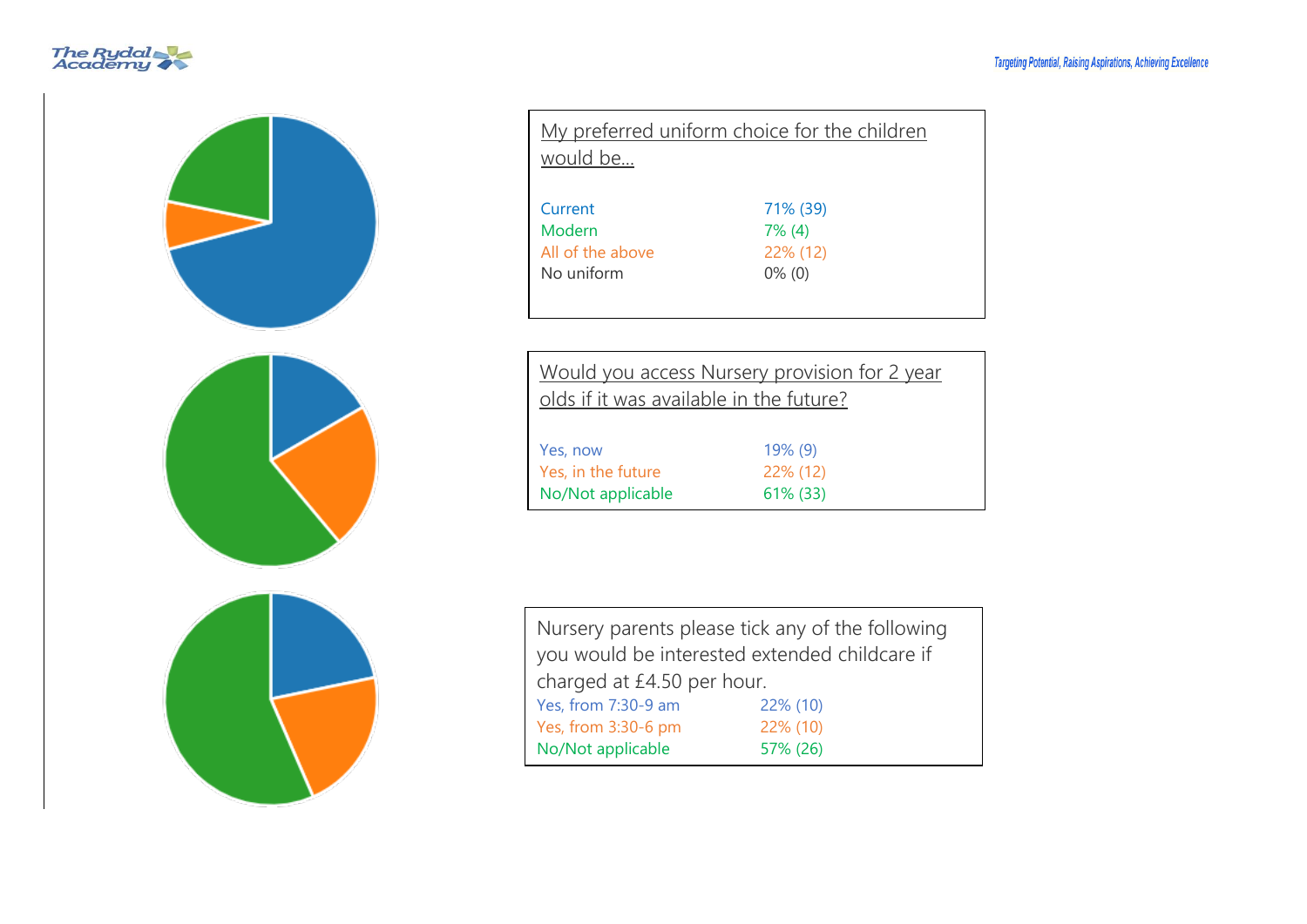



| My preferred uniform choice for the children<br>would be |                                                |  |  |
|----------------------------------------------------------|------------------------------------------------|--|--|
| Current<br>Modern<br>All of the above<br>No uniform      | 71% (39)<br>$7\%$ (4)<br>22% (12)<br>$0\%$ (0) |  |  |

| Would you access Nursery provision for 2 year<br>olds if it was available in the future? |            |  |  |  |
|------------------------------------------------------------------------------------------|------------|--|--|--|
| Yes, now                                                                                 | $19\%$ (9) |  |  |  |
| Yes, in the future                                                                       | 22% (12)   |  |  |  |
| No/Not applicable                                                                        | 61% (33)   |  |  |  |

| Nursery parents please tick any of the following |          |  |  |
|--------------------------------------------------|----------|--|--|
| you would be interested extended childcare if    |          |  |  |
| charged at £4.50 per hour.                       |          |  |  |
| Yes, from 7:30-9 am                              | 22% (10) |  |  |
| 22% (10)<br>Yes, from 3:30-6 pm                  |          |  |  |
| No/Not applicable<br>57% (26)                    |          |  |  |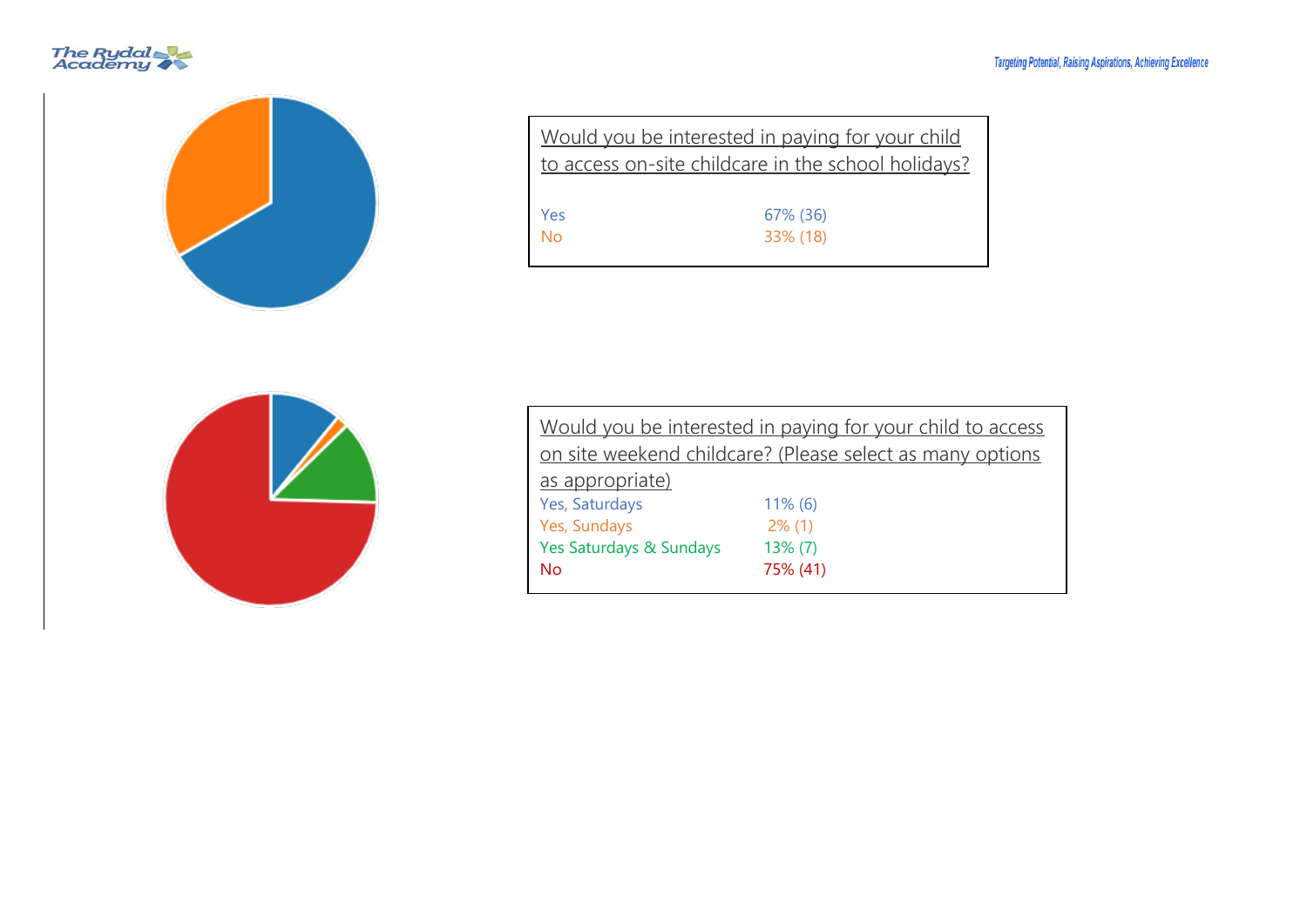#### **Targeting Potential, Raising Aspirations, Achieving Excellence**





| Would you be interested in paying for your child<br>to access on-site childcare in the school holidays? |          |  |  |  |
|---------------------------------------------------------------------------------------------------------|----------|--|--|--|
| Yes                                                                                                     | 67% (36) |  |  |  |
| Nο                                                                                                      | 33% (18) |  |  |  |



| Would you be interested in paying for your child to access |  |  |  |  |
|------------------------------------------------------------|--|--|--|--|
| on site weekend childcare? (Please select as many options  |  |  |  |  |
|                                                            |  |  |  |  |
| $11\%$ (6)                                                 |  |  |  |  |
| $2\%$ (1)                                                  |  |  |  |  |
| $13\%$ (7)                                                 |  |  |  |  |
| 75% (41)                                                   |  |  |  |  |
|                                                            |  |  |  |  |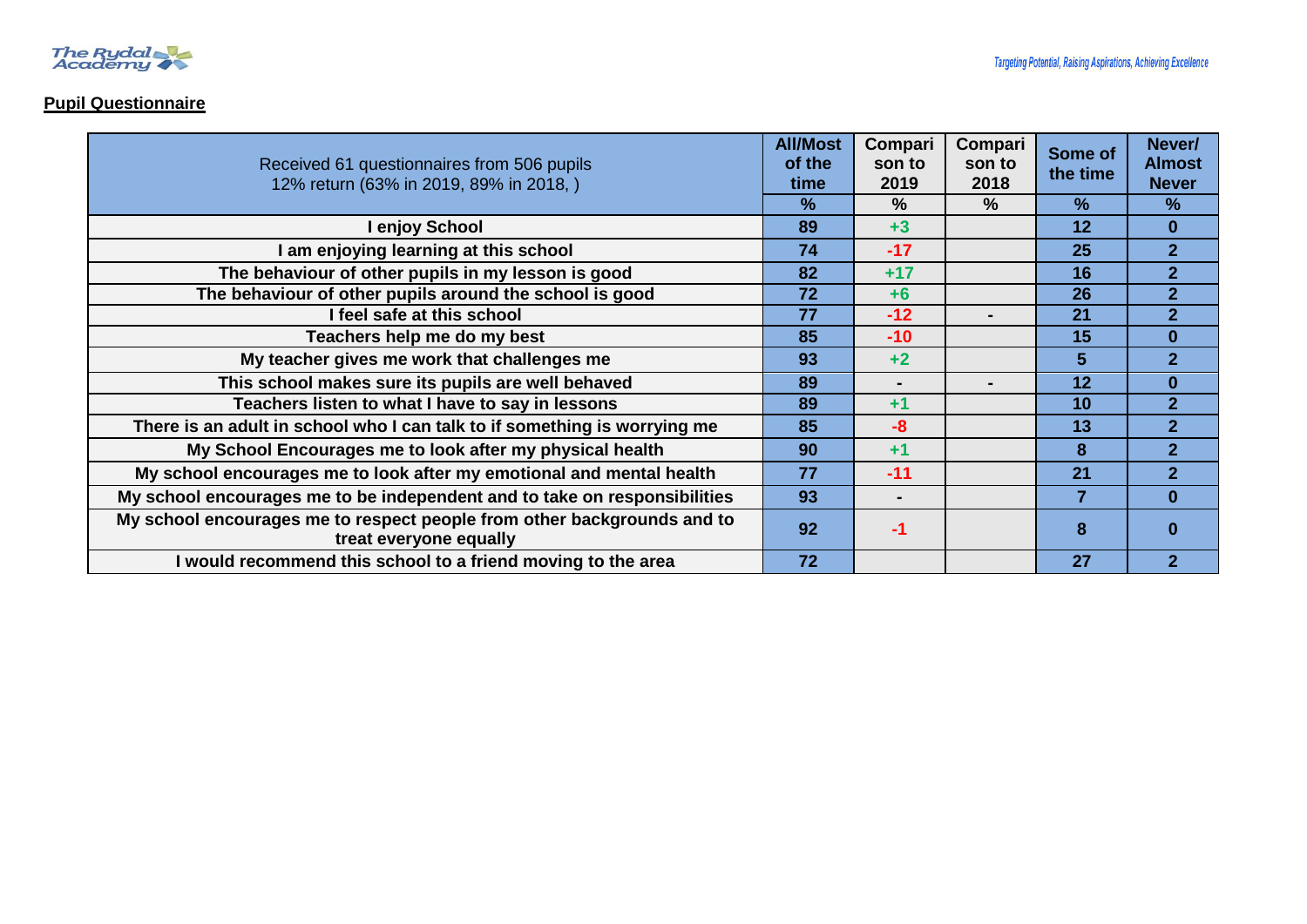

## **Pupil Questionnaire**

| Received 61 questionnaires from 506 pupils<br>12% return (63% in 2019, 89% in 2018,)              |               | Compari<br>son to<br>2019 | Compari<br>son to<br>2018 | Some of<br>the time | Never/<br><b>Almost</b><br><b>Never</b> |
|---------------------------------------------------------------------------------------------------|---------------|---------------------------|---------------------------|---------------------|-----------------------------------------|
|                                                                                                   | $\frac{9}{6}$ | $\%$                      | $\%$                      | $\%$                | $\frac{9}{6}$                           |
| I enjoy School                                                                                    | 89            | $+3$                      |                           | 12                  | $\bf{0}$                                |
| am enjoying learning at this school                                                               | 74            | $-17$                     |                           | 25                  | 2 <sup>1</sup>                          |
| The behaviour of other pupils in my lesson is good                                                | 82            | $+17$                     |                           | 16                  | $\overline{2}$                          |
| The behaviour of other pupils around the school is good                                           | 72            | $+6$                      |                           | 26                  | $\overline{2}$                          |
| I feel safe at this school                                                                        | 77            | $-12$                     |                           | 21                  | $\overline{2}$                          |
| Teachers help me do my best                                                                       | 85            | $-10$                     |                           | 15                  | $\bf{0}$                                |
| My teacher gives me work that challenges me                                                       | 93            | $+2$                      |                           | 5                   | $\overline{2}$                          |
| This school makes sure its pupils are well behaved                                                | 89            | $\blacksquare$            |                           | 12                  | $\bf{0}$                                |
| Teachers listen to what I have to say in lessons                                                  | 89            | $+1$                      |                           | 10                  | $\overline{2}$                          |
| There is an adult in school who I can talk to if something is worrying me                         | 85            | $-8$                      |                           | 13                  | $\overline{2}$                          |
| My School Encourages me to look after my physical health                                          | 90            | $+1$                      |                           | 8                   | $\overline{2}$                          |
| My school encourages me to look after my emotional and mental health                              | 77            | $-11$                     |                           | 21                  | $\overline{2}$                          |
| My school encourages me to be independent and to take on responsibilities                         | 93            |                           |                           | 7                   | $\bf{0}$                                |
| My school encourages me to respect people from other backgrounds and to<br>treat everyone equally | 92            | -1                        |                           | 8                   |                                         |
| I would recommend this school to a friend moving to the area                                      | 72            |                           |                           | 27                  | $\overline{2}$                          |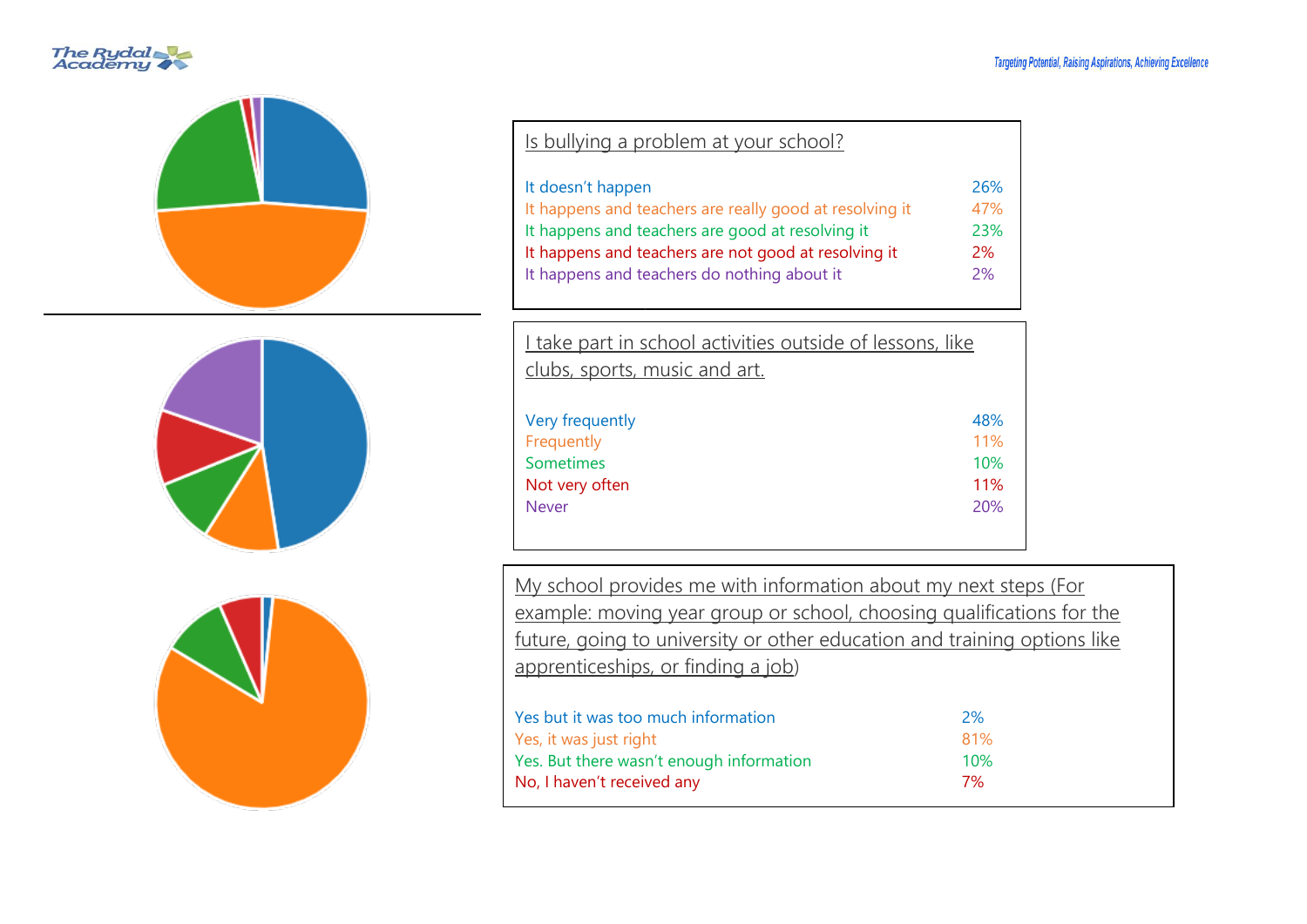#### **Targeting Potential, Raising Aspirations, Achieving Excellence**





| Is bullying a problem at your school?                   |     |
|---------------------------------------------------------|-----|
| It doesn't happen                                       | 26% |
| It happens and teachers are really good at resolving it | 47% |
| It happens and teachers are good at resolving it        | 23% |
| It happens and teachers are not good at resolving it    | 2%  |
| It happens and teachers do nothing about it             | 2%  |

| I take part in school activities outside of lessons, like |     |
|-----------------------------------------------------------|-----|
| clubs, sports, music and art.                             |     |
|                                                           |     |
| Very frequently                                           | 48% |
| Frequently                                                | 11% |
| Sometimes                                                 | 10% |
| Not very often                                            | 11% |
| <b>Never</b>                                              | 20% |

My school provides me with information about my next steps (For example: moving year group or school, choosing qualifications for the future, going to university or other education and training options like apprenticeships, or finding a job)

| Yes but it was too much information      | 2%         |
|------------------------------------------|------------|
| Yes, it was just right                   | 81%        |
| Yes. But there wasn't enough information | <b>10%</b> |
| No, I haven't received any               | 7%         |
|                                          |            |



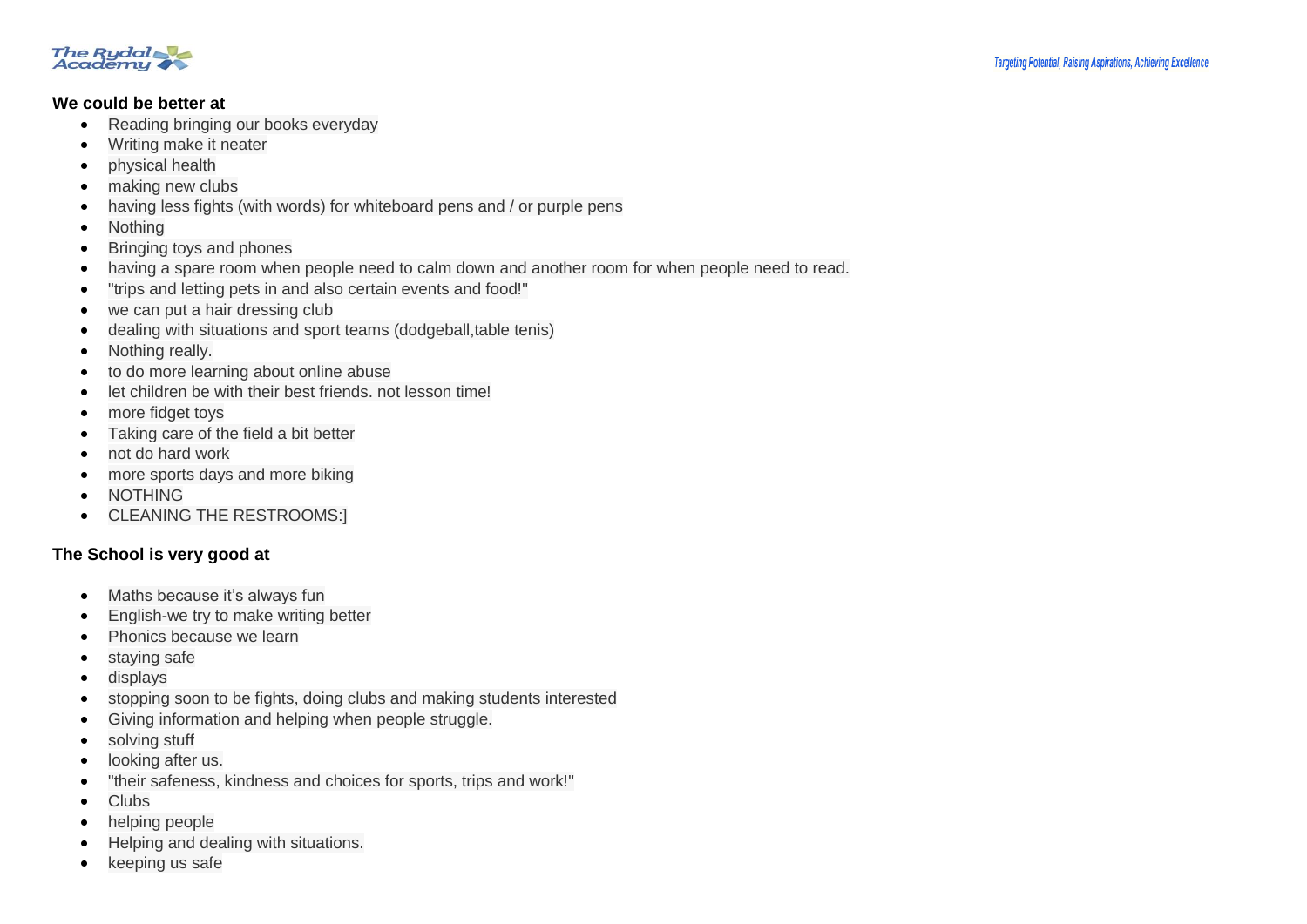

#### **We could be better at**

- Reading bringing our books everyday
- Writing make it neater
- physical health
- making new clubs
- having less fights (with words) for whiteboard pens and / or purple pens
- Nothing
- Bringing toys and phones
- having a spare room when people need to calm down and another room for when people need to read.
- "trips and letting pets in and also certain events and food!"
- we can put a hair dressing club
- dealing with situations and sport teams (dodgeball,table tenis)
- Nothing really.
- to do more learning about online abuse
- let children be with their best friends. not lesson time!
- more fidget toys
- Taking care of the field a bit better
- not do hard work
- more sports days and more biking
- NOTHING
- CLEANING THE RESTROOMS:1

## **The School is very good at**

- Maths because it's always fun
- English-we try to make writing better
- Phonics because we learn
- staying safe
- displays
- stopping soon to be fights, doing clubs and making students interested
- Giving information and helping when people struggle.
- solving stuff
- looking after us.
- "their safeness, kindness and choices for sports, trips and work!"
- Clubs
- helping people
- Helping and dealing with situations.
- keeping us safe